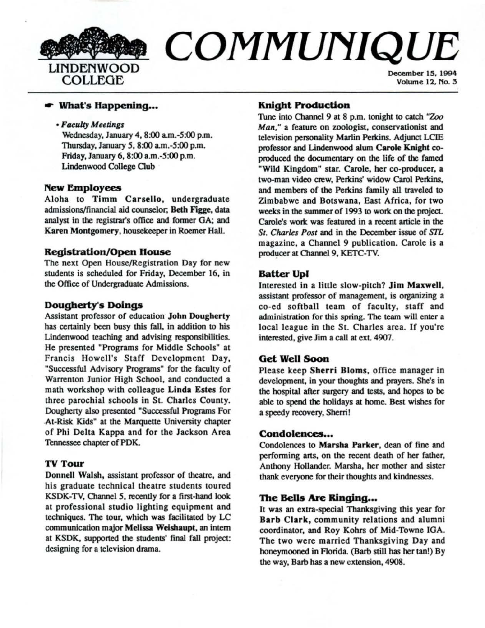

# **COMMUNIQUE**

December 15, 1994 Volume 12, No. 5

#### ,.. **What's Happening •••**

#### • Faculty Meetings

Wednesday, January 4, 8:00 a.m.-5:00 p.m. Thursday, January 5, 8:00 am.-5:00 p.m. Friday, January 6, 8:00 a.m.-5:00 p.m. Lindenwood College Club

#### **New Employees**

Aloha to Timm Carsello, undergraduate admissions/financial aid counselor; Beth Figge, data analyst in the registrar's office and former GA; and Karen Montgomery, housekeeper in Roemer Hall.

#### **Registration/Open House**

The next Open House/Registration Day for new students is scheduled for Friday, December 16, in the Office of Undergraduate Admissiom.

#### **Dougherty's Doings**

Assistant professor of education **John Dougherty**  has certainly been busy this fall, in addition to his Lindenwood teaching and advising responsibilities. He presented "Programs for Middle Schools" at Francis Howell's Staff Development Day, "Successful Advisory Programs" for the faculty of Warrenton Junior High School, and conducted a math workshop with colleague **Linda Estes** for three parochial schools in St. Charles County. Dougherty also presented "Successful Programs For .At-Risk Kids" at the Marquette University chapter of Phi Delta Kappa and for the Jackson Area Tennessee chapter of POK.

# **TV Tour**

Donnell Walsh, assistant professor of theatre, and his graduate technical theatre students toured KSDK-TV, Otannel *5,* recently for a first-hand look at professional studio lighting equipment and techniques. The tour, which was facilitated by LC communication major **Melissa Weishaupt,** an intern at KSDK, supported the students' final fall project: designing for a television drama.

### **Knight Production**

Tune into Channel 9 at 8 p.m. tonight to catch "Zoo Man," a feature on zoologist, conservationist and television personality Marlin Perkins. Adjunct LCIE professor **and Lindenwood** alum **Carole Knight** coproduced the documentary on the life of the famed "Wild Kingdom" star. Carole, her co-producer, a two-man video crew, Perkins' widow Carol Perkins, and members of the Perkins family all traveled to Zimbabwe and Botswana, East Africa, for two weeks in the summer of 1993 to work on the project. Carole's work was featured in a recent article in the *St. Charles Post* and in the December issue of S'IL magazine, a Channel 9 publication. Carole is a producer at Channel 9, KETC-TV.

#### **Batter Upl**

Interested in a little slow-pitch? **Jim Maxwell,**  assistant professor of management, is organizing a co-ed softball team of faculty, staff and administration for this spring. The team will enter a local league in the St. Charles area. If you're interested, give Jim a call at ext. 4907.

## **Get Well Soon**

Please keep Sherri Bloms, office manager in development, in your thoughts and prayers. She's in the hospital after surgery and tests, and hopes to be able to spend the holidays at home. Best wishes for a speedy recovery, Sherri!

## Condolences...

Condolences to **Marsha Parker,** dean of fine and performing arts, on the recent death of her father, Anthony Hollander. Marsha, her mother and sister thank everyone for their thoughts and kindnesses.

#### **The Bells Are Ringing...**

It was an extra-special Thanksgiving this year for **Barb Clark,** community relations and alumni coordinator, and Roy Kohrs of Mid-Towne JOA. The two were married Thanksgiving Day and honeymooned in Florida. (Barb still has her tan!) By the way, Barb has a new extension, 4908.